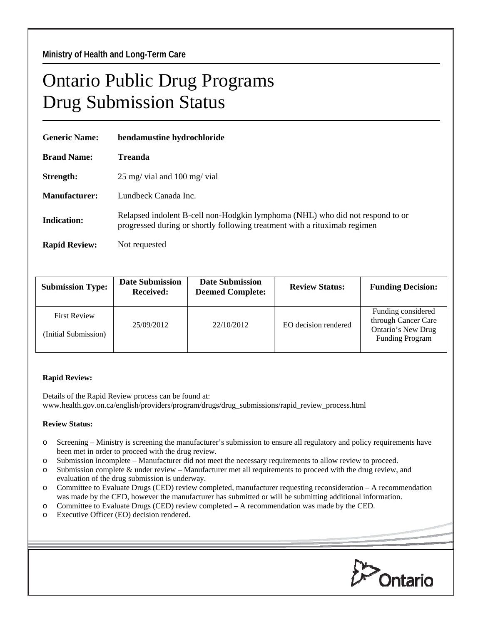## Ontario Public Drug Programs Drug Submission Status

| <b>Generic Name:</b> | bendamustine hydrochloride                                                                                                                                 |  |  |
|----------------------|------------------------------------------------------------------------------------------------------------------------------------------------------------|--|--|
| <b>Brand Name:</b>   | <b>Treanda</b>                                                                                                                                             |  |  |
| Strength:            | $25 \text{ mg}$ vial and $100 \text{ mg}$ vial                                                                                                             |  |  |
| Manufacturer:        | Lundbeck Canada Inc.                                                                                                                                       |  |  |
| Indication:          | Relapsed indolent B-cell non-Hodgkin lymphoma (NHL) who did not respond to or<br>progressed during or shortly following treatment with a rituximab regimen |  |  |
| <b>Rapid Review:</b> | Not requested                                                                                                                                              |  |  |

| <b>Submission Type:</b>                     | <b>Date Submission</b><br><b>Received:</b> | <b>Date Submission</b><br><b>Deemed Complete:</b> | <b>Review Status:</b> | <b>Funding Decision:</b>                                                                  |
|---------------------------------------------|--------------------------------------------|---------------------------------------------------|-----------------------|-------------------------------------------------------------------------------------------|
| <b>First Review</b><br>(Initial Submission) | 25/09/2012                                 | 22/10/2012                                        | EO decision rendered  | Funding considered<br>through Cancer Care<br>Ontario's New Drug<br><b>Funding Program</b> |
|                                             |                                            |                                                   |                       |                                                                                           |

## **Rapid Review:**

Details of the Rapid Review process can be found at: www.health.gov.on.ca/english/providers/program/drugs/drug\_submissions/rapid\_review\_process.html

## **Review Status:**

- o Screening Ministry is screening the manufacturer's submission to ensure all regulatory and policy requirements have been met in order to proceed with the drug review.
- o Submission incomplete Manufacturer did not meet the necessary requirements to allow review to proceed.
- o Submission complete & under review Manufacturer met all requirements to proceed with the drug review, and evaluation of the drug submission is underway.
- o Committee to Evaluate Drugs (CED) review completed, manufacturer requesting reconsideration A recommendation was made by the CED, however the manufacturer has submitted or will be submitting additional information.
- o Committee to Evaluate Drugs (CED) review completed A recommendation was made by the CED.
- o Executive Officer (EO) decision rendered.